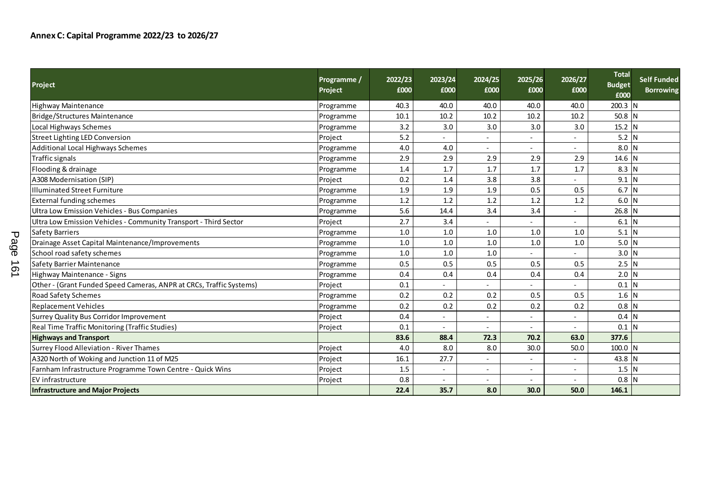|           | <b>Project</b>                                                      | Programme /<br>Project | 2022/23<br>£000 | 2023/24<br>£000 | 2024/25<br>£000          | 2025/26<br>£000 | 2026/27<br>£000          | <b>Total</b><br><b>Budget</b><br>£000 | Self Funded<br><b>Borrowing</b> |
|-----------|---------------------------------------------------------------------|------------------------|-----------------|-----------------|--------------------------|-----------------|--------------------------|---------------------------------------|---------------------------------|
|           | Highway Maintenance                                                 | Programme              | 40.3            | 40.0            | 40.0                     | 40.0            | 40.0                     | 200.3 N                               |                                 |
|           | Bridge/Structures Maintenance                                       | Programme              | 10.1            | 10.2            | 10.2                     | 10.2            | 10.2                     | $50.8$ N                              |                                 |
|           | Local Highways Schemes                                              | Programme              | 3.2             | 3.0             | 3.0                      | 3.0             | 3.0                      | $15.2$ N                              |                                 |
|           | <b>Street Lighting LED Conversion</b>                               | Project                | 5.2             |                 |                          | $\sim$          |                          | $5.2$ N                               |                                 |
|           | <b>Additional Local Highways Schemes</b>                            | Programme              | 4.0             | 4.0             | $\overline{\phantom{a}}$ | $\sim$          | $\overline{\phantom{a}}$ | $8.0$ N                               |                                 |
|           | Traffic signals                                                     | Programme              | 2.9             | 2.9             | 2.9                      | 2.9             | 2.9                      | 14.6 N                                |                                 |
|           | Flooding & drainage                                                 | Programme              | 1.4             | 1.7             | 1.7                      | 1.7             | 1.7                      | $8.3$ N                               |                                 |
|           | A308 Modernisation (SIP)                                            | Project                | 0.2             | 1.4             | 3.8                      | 3.8             |                          | $9.1$ N                               |                                 |
|           | <b>Illuminated Street Furniture</b>                                 | Programme              | 1.9             | 1.9             | 1.9                      | 0.5             | 0.5                      | $6.7$ N                               |                                 |
|           | <b>External funding schemes</b>                                     | Programme              | 1.2             | 1.2             | 1.2                      | 1.2             | 1.2                      | $6.0$ N                               |                                 |
|           | Ultra Low Emission Vehicles - Bus Companies                         | Programme              | 5.6             | 14.4            | 3.4                      | 3.4             |                          | $26.8$ N                              |                                 |
|           | Ultra Low Emission Vehicles - Community Transport - Third Sector    | Project                | 2.7             | 3.4             |                          |                 |                          | $6.1$ N                               |                                 |
| ᠊ᠣ        | <b>Safety Barriers</b>                                              | Programme              | 1.0             | $1.0$           | 1.0                      | 1.0             | 1.0                      | $5.1$ N                               |                                 |
| age       | Drainage Asset Capital Maintenance/Improvements                     | Programme              | 1.0             | $1.0$           | 1.0                      | 1.0             | 1.0                      | $5.0$ N                               |                                 |
|           | School road safety schemes                                          | Programme              | 1.0             | 1.0             | 1.0                      |                 |                          | $3.0$ N                               |                                 |
| $\vec{0}$ | <b>Safety Barrier Maintenance</b>                                   | Programme              | 0.5             | 0.5             | 0.5                      | 0.5             | 0.5                      | $2.5$ N                               |                                 |
| ∸         | Highway Maintenance - Signs                                         | Programme              | 0.4             | 0.4             | 0.4                      | 0.4             | 0.4                      | $2.0$ N                               |                                 |
|           | Other - (Grant Funded Speed Cameras, ANPR at CRCs, Traffic Systems) | Project                | 0.1             |                 |                          | $\sim$          |                          | $0.1$ N                               |                                 |
|           | Road Safety Schemes                                                 | Programme              | 0.2             | 0.2             | 0.2                      | 0.5             | 0.5                      | $1.6$ N                               |                                 |
|           | Replacement Vehicles                                                | Programme              | 0.2             | 0.2             | 0.2                      | 0.2             | 0.2                      | $0.8$ N                               |                                 |
|           | <b>Surrey Quality Bus Corridor Improvement</b>                      | Project                | 0.4             |                 | $\blacksquare$           |                 |                          | 0.4                                   |                                 |
|           | Real Time Traffic Monitoring (Traffic Studies)                      | Project                | 0.1             |                 |                          |                 |                          | $0.1$ N                               |                                 |
|           | <b>Highways and Transport</b>                                       |                        | 83.6            | 88.4            | 72.3                     | 70.2            | 63.0                     | 377.6                                 |                                 |
|           | Surrey Flood Alleviation - River Thames                             | Project                | 4.0             | 8.0             | 8.0                      | 30.0            | 50.0                     | 100.0 N                               |                                 |
|           | A320 North of Woking and Junction 11 of M25                         | Project                | 16.1            | 27.7            | $\blacksquare$           | $\sim$          | $\blacksquare$           | 43.8 N                                |                                 |
|           | Farnham Infrastructure Programme Town Centre - Quick Wins           | Project                | 1.5             | $\sim$          | $\overline{\phantom{a}}$ | $\sim$          | ÷                        | $1.5$ N                               |                                 |
|           | EV infrastructure                                                   | Project                | 0.8             |                 |                          |                 |                          | $0.8$ N                               |                                 |
|           | <b>Infrastructure and Major Projects</b>                            |                        | 22.4            | 35.7            | 8.0                      | 30.0            | 50.0                     | 146.1                                 |                                 |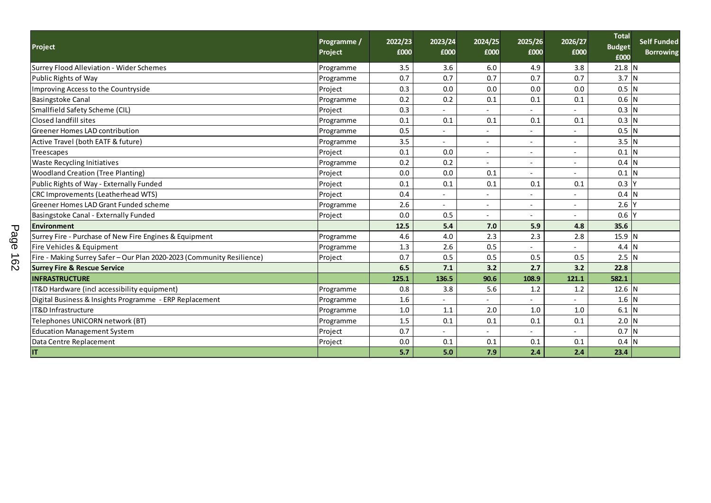| <b>Project</b>                                                         | Programme /<br>Project | 2022/23<br>£000 | 2023/24<br>£000          | 2024/25<br>£000          | 2025/26<br>£000          | 2026/27<br>£000          | <b>Total</b><br><b>Budget</b><br>£000 | <b>Self Funded</b><br><b>Borrowing</b> |
|------------------------------------------------------------------------|------------------------|-----------------|--------------------------|--------------------------|--------------------------|--------------------------|---------------------------------------|----------------------------------------|
| Surrey Flood Alleviation - Wider Schemes                               | Programme              | 3.5             | 3.6                      | 6.0                      | 4.9                      | 3.8                      | 21.8 N                                |                                        |
| Public Rights of Way                                                   | Programme              | 0.7             | 0.7                      | 0.7                      | 0.7                      | 0.7                      | $3.7$ N                               |                                        |
| Improving Access to the Countryside                                    | Project                | 0.3             | 0.0                      | 0.0                      | 0.0                      | 0.0                      | $0.5$ N                               |                                        |
| <b>Basingstoke Canal</b>                                               | Programme              | 0.2             | 0.2                      | 0.1                      | 0.1                      | 0.1                      | $0.6$ N                               |                                        |
| Smallfield Safety Scheme (CIL)                                         | Project                | 0.3             | $\blacksquare$           | $\overline{\phantom{a}}$ | $\sim$                   |                          | $0.3$ N                               |                                        |
| <b>Closed landfill sites</b>                                           | Programme              | 0.1             | 0.1                      | 0.1                      | 0.1                      | 0.1                      | $0.3$ N                               |                                        |
| Greener Homes LAD contribution                                         | Programme              | 0.5             |                          |                          | -                        |                          | $0.5$ N                               |                                        |
| Active Travel (both EATF & future)                                     | Programme              | 3.5             | L,                       |                          | $\overline{\phantom{0}}$ |                          | $3.5$ N                               |                                        |
| Treescapes                                                             | Project                | 0.1             | 0.0                      | $\overline{\phantom{a}}$ | $\overline{\phantom{a}}$ |                          | $0.1$ N                               |                                        |
| Waste Recycling Initiatives                                            | Programme              | 0.2             | 0.2                      | $\overline{\phantom{a}}$ | $\overline{\phantom{a}}$ | $\overline{\phantom{a}}$ | $0.4$ N                               |                                        |
| <b>Woodland Creation (Tree Planting)</b>                               | Project                | 0.0             | 0.0                      | 0.1                      | $\overline{\phantom{0}}$ | $\sim$                   | $0.1$ N                               |                                        |
| Public Rights of Way - Externally Funded                               | Project                | 0.1             | 0.1                      | 0.1                      | 0.1                      | 0.1                      | 0.3 <sub>1</sub>                      |                                        |
| CRC Improvements (Leatherhead WTS)                                     | Project                | 0.4             | $\overline{\phantom{a}}$ |                          | $\blacksquare$           |                          | $0.4$ N                               |                                        |
| Greener Homes LAD Grant Funded scheme                                  | Programme              | 2.6             |                          | $\overline{\phantom{a}}$ | $\overline{\phantom{0}}$ |                          | $2.6\,$                               |                                        |
| Basingstoke Canal - Externally Funded                                  | Project                | 0.0             | 0.5                      | $\overline{\phantom{a}}$ | $\blacksquare$           | $\overline{\phantom{a}}$ | 0.6                                   |                                        |
| <b>Environment</b><br>$\mathbf{\tau}$                                  |                        | 12.5            | 5.4                      | 7.0                      | 5.9                      | 4.8                      | 35.6                                  |                                        |
| Surrey Fire - Purchase of New Fire Engines & Equipment                 | Programme              | 4.6             | 4.0                      | 2.3                      | 2.3                      | 2.8                      | 15.9 N                                |                                        |
| Fire Vehicles & Equipment                                              | Programme              | 1.3             | 2.6                      | 0.5                      | $\overline{\phantom{0}}$ |                          | $4.4$ N                               |                                        |
| Fire - Making Surrey Safer - Our Plan 2020-2023 (Community Resilience) | Project                | 0.7             | 0.5                      | 0.5                      | 0.5                      | 0.5                      | $2.5$ N                               |                                        |
| <b>Surrey Fire &amp; Rescue Service</b>                                |                        | 6.5             | 7.1                      | 3.2                      | 2.7                      | 3.2                      | 22.8                                  |                                        |
| <b>INFRASTRUCTURE</b>                                                  |                        | 125.1           | 136.5                    | 90.6                     | 108.9                    | 121.1                    | 582.1                                 |                                        |
| T&D Hardware (incl accessibility equipment)                            | Programme              | 0.8             | 3.8                      | 5.6                      | 1.2                      | 1.2                      | $12.6$ N                              |                                        |
| Digital Business & Insights Programme - ERP Replacement                | Programme              | 1.6             |                          |                          | ٠                        |                          | $1.6$ N                               |                                        |
| IT&D Infrastructure                                                    | Programme              | 1.0             | 1.1                      | 2.0                      | 1.0                      | 1.0                      | $6.1$ N                               |                                        |
| Telephones UNICORN network (BT)                                        | Programme              | 1.5             | 0.1                      | 0.1                      | 0.1                      | 0.1                      | $2.0$ N                               |                                        |
| <b>Education Management System</b>                                     | Project                | 0.7             |                          |                          |                          |                          | 0.7 <sub>N</sub>                      |                                        |
| Data Centre Replacement                                                | Project                | 0.0             | 0.1                      | 0.1                      | 0.1                      | 0.1                      | 0.4 N                                 |                                        |
|                                                                        |                        | 5.7             | 5.0                      | 7.9                      | 2.4                      | 2.4                      | 23.4                                  |                                        |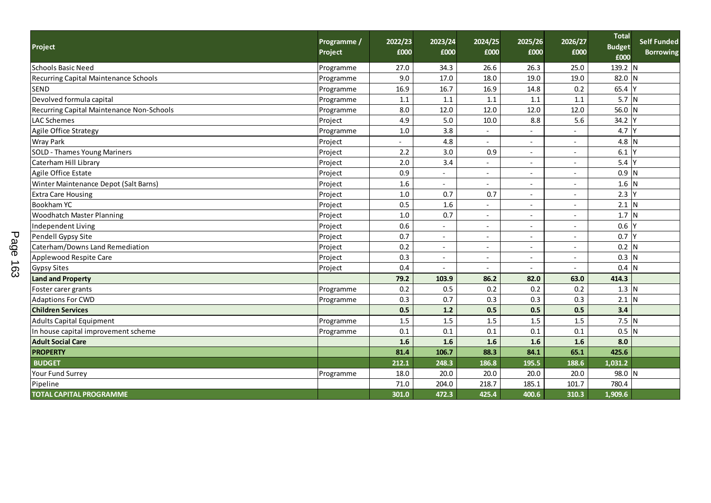| Project                                   |                                     | Programme /<br>Project | 2022/23<br>£000 | 2023/24<br>£000          | 2024/25<br>£000          | 2025/26<br>£000          | 2026/27<br>£000          | <b>Total</b><br><b>Budget</b><br>£000 | Self Funded<br><b>Borrowing</b> |
|-------------------------------------------|-------------------------------------|------------------------|-----------------|--------------------------|--------------------------|--------------------------|--------------------------|---------------------------------------|---------------------------------|
| Schools Basic Need                        |                                     | Programme              | 27.0            | 34.3                     | 26.6                     | 26.3                     | 25.0                     | $139.2$ N                             |                                 |
| Recurring Capital Maintenance Schools     |                                     | Programme              | 9.0             | 17.0                     | 18.0                     | 19.0                     | 19.0                     | 82.0 N                                |                                 |
| <b>SEND</b>                               |                                     | Programme              | 16.9            | 16.7                     | 16.9                     | 14.8                     | 0.2                      | 65.4 Y                                |                                 |
| Devolved formula capital                  |                                     | Programme              | 1.1             | 1.1                      | 1.1                      | 1.1                      | 1.1                      | $5.7$ N                               |                                 |
| Recurring Capital Maintenance Non-Schools |                                     | Programme              | 8.0             | 12.0                     | 12.0                     | 12.0                     | 12.0                     | 56.0 N                                |                                 |
| LAC Schemes                               |                                     | Project                | 4.9             | 5.0                      | 10.0                     | 8.8                      | 5.6                      | 34.2                                  |                                 |
| Agile Office Strategy                     |                                     | Programme              | 1.0             | 3.8                      | $\overline{a}$           | $\blacksquare$           |                          | 4.7                                   |                                 |
| <b>Wray Park</b>                          |                                     | Project                |                 | 4.8                      |                          |                          |                          | $4.8$ N                               |                                 |
| <b>SOLD - Thames Young Mariners</b>       |                                     | Project                | 2.2             | 3.0                      | 0.9                      | $\blacksquare$           | $\sim$                   | $6.1$ Y                               |                                 |
| Caterham Hill Library                     |                                     | Project                | 2.0             | 3.4                      | $\overline{\phantom{a}}$ | $\sim$                   | $\blacksquare$           | $5.4$ Y                               |                                 |
| Agile Office Estate                       |                                     | Project                | 0.9             |                          | $\overline{\phantom{a}}$ |                          | $\blacksquare$           | $0.9$ N                               |                                 |
| Winter Maintenance Depot (Salt Barns)     |                                     | Project                | 1.6             |                          | $\overline{\phantom{a}}$ |                          | $\overline{\phantom{a}}$ | $1.6$ N                               |                                 |
| <b>Extra Care Housing</b>                 |                                     | Project                | 1.0             | 0.7                      | 0.7                      | $\overline{\phantom{a}}$ | $\blacksquare$           | $2.3$ Y                               |                                 |
| <b>Bookham YC</b>                         |                                     | Project                | 0.5             | 1.6                      | $\blacksquare$           | $\sim$                   | $\blacksquare$           | $2.1$ N                               |                                 |
| <b>Woodhatch Master Planning</b>          |                                     | Project                | $1.0\,$         | 0.7                      | $\overline{\phantom{a}}$ | $\sim$                   | $\overline{\phantom{a}}$ | 1.7 N                                 |                                 |
| Independent Living                        |                                     | Project                | 0.6             | $\sim$                   | $\blacksquare$           | $\sim$                   | $\blacksquare$           | $0.6$ Y                               |                                 |
| Pendell Gypsy Site                        |                                     | Project                | 0.7             | $\sim$                   | $\sim$                   | $\sim$                   | $\blacksquare$           | $0.7$ Y                               |                                 |
| Page<br>Caterham/Downs Land Remediation   |                                     | Project                | 0.2             | $\sim$                   | $\overline{\phantom{a}}$ | $\sim$                   | $\overline{\phantom{a}}$ | $0.2$ N                               |                                 |
| Applewood Respite Care                    |                                     | Project                | 0.3             | $\sim$                   | $\overline{\phantom{a}}$ | $\sim$                   |                          | $0.3$ N                               |                                 |
| $\vec{e}$<br><b>Gypsy Sites</b>           |                                     | Project                | 0.4             | $\overline{\phantom{a}}$ | $\sim$                   |                          | $\blacksquare$           | $0.4$ N                               |                                 |
| ω<br><b>Land and Property</b>             |                                     |                        | 79.2            | 103.9                    | 86.2                     | 82.0                     | 63.0                     | 414.3                                 |                                 |
| Foster carer grants                       |                                     | Programme              | 0.2             | 0.5                      | 0.2                      | 0.2                      | 0.2                      | $1.3$ N                               |                                 |
| <b>Adaptions For CWD</b>                  |                                     | Programme              | 0.3             | 0.7                      | 0.3                      | 0.3                      | 0.3                      | $2.1$ N                               |                                 |
| <b>Children Services</b>                  |                                     |                        | 0.5             | 1.2                      | 0.5                      | 0.5                      | 0.5                      | 3.4                                   |                                 |
| <b>Adults Capital Equipment</b>           |                                     | Programme              | 1.5             | 1.5                      | 1.5                      | 1.5                      | 1.5                      | $7.5$ N                               |                                 |
|                                           | In house capital improvement scheme |                        | 0.1             | 0.1                      | 0.1                      | 0.1                      | 0.1                      | $0.5$ N                               |                                 |
| <b>Adult Social Care</b>                  |                                     |                        | 1.6             | 1.6                      | 1.6                      | 1.6                      | 1.6                      | 8.0                                   |                                 |
| <b>PROPERTY</b>                           |                                     |                        | 81.4            | 106.7                    | 88.3                     | 84.1                     | 65.1                     | 425.6                                 |                                 |
| <b>BUDGET</b>                             |                                     |                        | 212.1           | 248.3                    | 186.8                    | 195.5                    | 188.6                    | 1,031.2                               |                                 |
| Your Fund Surrey                          |                                     | Programme              | 18.0            | 20.0                     | 20.0                     | 20.0                     | 20.0                     | 98.0 N                                |                                 |
| Pipeline                                  |                                     |                        | 71.0            | 204.0                    | 218.7                    | 185.1                    | 101.7                    | 780.4                                 |                                 |
| <b>TOTAL CAPITAL PROGRAMME</b>            |                                     |                        | 301.0           | 472.3                    | 425.4                    | 400.6                    | 310.3                    | 1,909.6                               |                                 |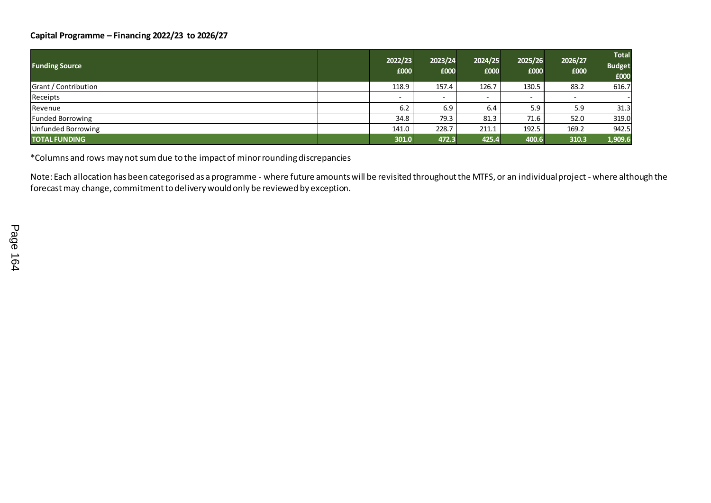## **Capital Programme – Financing 2022/23 to 2026/27**

| <b>Funding Source</b> | 2022/23<br>£000          | 2023/24<br>£000          | 2024/25<br>£000          | 2025/26<br>£000 | 2026/27<br>£000          | <b>Total</b><br><b>Budget</b><br>£000 |
|-----------------------|--------------------------|--------------------------|--------------------------|-----------------|--------------------------|---------------------------------------|
| Grant / Contribution  | 118.9                    | 157.4                    | 126.7                    | 130.5           | 83.2                     | 616.7                                 |
| Receipts              | $\overline{\phantom{0}}$ | $\overline{\phantom{0}}$ | $\overline{\phantom{0}}$ | -               | $\overline{\phantom{0}}$ |                                       |
| Revenue               | 6.2                      | 6.9                      | 6.4                      | 5.9             | 5.9                      | 31.3                                  |
| Funded Borrowing      | 34.8                     | 79.3                     | 81.3                     | 71.6            | 52.0                     | 319.0                                 |
| Unfunded Borrowing    | 141.0                    | 228.7                    | 211.1                    | 192.5           | 169.2                    | 942.5                                 |
| <b>TOTAL FUNDING</b>  | 301.0                    | 472.3                    | 425.4                    | 400.6           | 310.3                    | 1,909.6                               |

\*Columns and rows may not sum due to the impact of minor rounding discrepancies

Note: Each allocation has been categorised as a programme - where future amounts will be revisited throughout the MTFS, or an individual project - where although the forecast may change, commitment to delivery would only be reviewed by exception.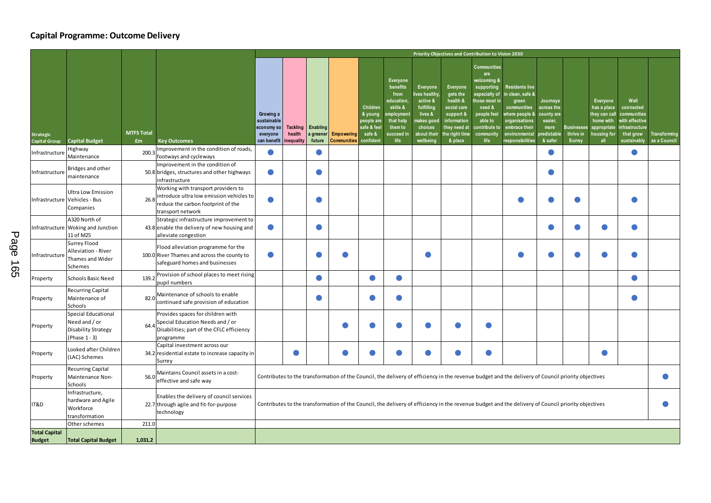## **Capital Programme: Outcome Delivery**

|                                          |                                                                              |                         |                                                                                                                                            | Priority Objectives and Contribution to Vision 2030                                                                                                |                                        |                    |                                            |                                                                        |                                                                                                                        |                                                                                                                   |                                                                                                                         |                                                                                                                                                                   |                                                                                                                                                            |                                                                                  |                                                 |                                                                                            |                                                                                                  |                              |
|------------------------------------------|------------------------------------------------------------------------------|-------------------------|--------------------------------------------------------------------------------------------------------------------------------------------|----------------------------------------------------------------------------------------------------------------------------------------------------|----------------------------------------|--------------------|--------------------------------------------|------------------------------------------------------------------------|------------------------------------------------------------------------------------------------------------------------|-------------------------------------------------------------------------------------------------------------------|-------------------------------------------------------------------------------------------------------------------------|-------------------------------------------------------------------------------------------------------------------------------------------------------------------|------------------------------------------------------------------------------------------------------------------------------------------------------------|----------------------------------------------------------------------------------|-------------------------------------------------|--------------------------------------------------------------------------------------------|--------------------------------------------------------------------------------------------------|------------------------------|
| <b>Strategic</b><br><b>Capital Group</b> | <b>Capital Budget</b>                                                        | <b>MTFS Total</b><br>£m | <b>Key Outcomes</b>                                                                                                                        | Growing a<br>sustainable<br>economy so<br>everyone<br>can benefit                                                                                  | <b>Tackling</b><br>health<br>nequality | Enabling<br>future | a greener Empowering<br><b>Communities</b> | Children<br>& young<br>people are<br>safe & fee<br>safe &<br>confident | <b>Everyone</b><br>benefits<br>from<br>education<br>skills &<br>mploymen<br>that help<br>them to<br>succeed in<br>life | Everyone<br>ves healthy<br>active &<br>fulfilling<br>lives &<br>iakes good<br>choices<br>about their<br>wellbeing | Everyone<br>gets the<br>health &<br>social care<br>support &<br>information<br>they need at<br>he right time<br>& place | <b>Communities</b><br>are<br>welcoming &<br>supporting<br>especially of<br>hose most in<br>need &<br>people feel<br>able to<br>contribute to<br>community<br>life | <b>Residents live</b><br>in clean, safe &<br>green<br>communities<br>where people &<br>organisations<br>embrace their<br>environmental<br>responsibilities | Journeys<br>across the<br>county are<br>easier,<br>more<br>redictable<br>& safer | <b>Businesses</b><br>thrive in<br><b>Surrey</b> | Everyone<br>has a place<br>they can call<br>home with<br>appropriate<br>housing for<br>all | Well<br>connected<br>communities<br>with effective<br>infrastructure<br>that grow<br>sustainably | Transforming<br>as a Council |
| Infrastructure                           | Highway<br>Maintenance                                                       | 200.3                   | Improvement in the condition of roads,<br>footways and cycleways                                                                           |                                                                                                                                                    |                                        | $\bullet$          |                                            |                                                                        |                                                                                                                        |                                                                                                                   |                                                                                                                         |                                                                                                                                                                   |                                                                                                                                                            |                                                                                  |                                                 |                                                                                            | $\bullet$                                                                                        |                              |
| Infrastructure                           | Bridges and other<br>maintenance                                             |                         | Improvement in the condition of<br>50.8 bridges, structures and other highways<br>infrastructure                                           |                                                                                                                                                    |                                        | $\bullet$          |                                            |                                                                        |                                                                                                                        |                                                                                                                   |                                                                                                                         |                                                                                                                                                                   |                                                                                                                                                            |                                                                                  |                                                 |                                                                                            |                                                                                                  |                              |
| Infrastructure                           | Ultra Low Emission<br>Vehicles - Bus<br>Companies                            | 26.8                    | Working with transport providers to<br>introduce ultra low emission vehicles to<br>reduce the carbon footprint of the<br>transport network |                                                                                                                                                    |                                        |                    |                                            |                                                                        |                                                                                                                        |                                                                                                                   |                                                                                                                         |                                                                                                                                                                   |                                                                                                                                                            |                                                                                  |                                                 |                                                                                            |                                                                                                  |                              |
| Infrastructure                           | A320 North of<br>Woking and Junction<br>11 of M25                            |                         | Strategic infrastructure improvement to<br>43.8 enable the delivery of new housing and<br>alleviate congestion                             |                                                                                                                                                    |                                        | $\bullet$          |                                            |                                                                        |                                                                                                                        |                                                                                                                   |                                                                                                                         |                                                                                                                                                                   |                                                                                                                                                            |                                                                                  |                                                 |                                                                                            | $\bullet$                                                                                        |                              |
| Infrastructure                           | Surrey Flood<br>Alleviation - River<br>Thames and Wider<br>Schemes           |                         | Flood alleviation programme for the<br>100.0 River Thames and across the county to<br>safeguard homes and businesses                       |                                                                                                                                                    |                                        |                    |                                            |                                                                        |                                                                                                                        |                                                                                                                   |                                                                                                                         |                                                                                                                                                                   |                                                                                                                                                            |                                                                                  |                                                 |                                                                                            |                                                                                                  |                              |
| Property                                 | Schools Basic Need                                                           | 139.2                   | Provision of school places to meet rising<br>pupil numbers                                                                                 |                                                                                                                                                    |                                        | $\bullet$          |                                            | $\bullet$                                                              | $\bullet$                                                                                                              |                                                                                                                   |                                                                                                                         |                                                                                                                                                                   |                                                                                                                                                            |                                                                                  |                                                 |                                                                                            | $\bullet$                                                                                        |                              |
| Property                                 | Recurring Capital<br>Maintenance of<br>Schools                               | 82.0                    | Maintenance of schools to enable<br>continued safe provision of education                                                                  |                                                                                                                                                    |                                        |                    |                                            |                                                                        |                                                                                                                        |                                                                                                                   |                                                                                                                         |                                                                                                                                                                   |                                                                                                                                                            |                                                                                  |                                                 |                                                                                            |                                                                                                  |                              |
| Property                                 | Special Educational<br>Need and / or<br>Disability Strategy<br>(Phase 1 - 3) | 64.                     | Provides spaces for children with<br>Special Education Needs and / or<br>Disabilities; part of the CFLC efficiency<br>programme            |                                                                                                                                                    |                                        |                    |                                            |                                                                        |                                                                                                                        |                                                                                                                   |                                                                                                                         |                                                                                                                                                                   |                                                                                                                                                            |                                                                                  |                                                 |                                                                                            |                                                                                                  |                              |
| Property                                 | Looked after Children<br>(LAC) Schemes                                       |                         | Capital investment across our<br>34.2 residential estate to increase capacity in<br>Surrey                                                 |                                                                                                                                                    | $\bullet$                              |                    | O                                          | $\bullet$                                                              | $\bullet$                                                                                                              |                                                                                                                   |                                                                                                                         | 0                                                                                                                                                                 |                                                                                                                                                            |                                                                                  |                                                 |                                                                                            |                                                                                                  |                              |
| Property                                 | Recurring Capital<br>Maintenance Non-<br>Schools                             | 56.C                    | Maintains Council assets in a cost-<br>effective and safe way                                                                              | Contributes to the transformation of the Council, the delivery of efficiency in the revenue budget and the delivery of Council priority objectives |                                        |                    |                                            |                                                                        |                                                                                                                        |                                                                                                                   |                                                                                                                         |                                                                                                                                                                   |                                                                                                                                                            |                                                                                  |                                                 |                                                                                            |                                                                                                  |                              |
| IT&D                                     | Infrastructure,<br>hardware and Agile<br>Workforce<br>transformation         |                         | Enables the delivery of council services<br>22.7 through agile and fit-for-purpose<br>technology                                           | Contributes to the transformation of the Council, the delivery of efficiency in the revenue budget and the delivery of Council priority objectives |                                        |                    |                                            |                                                                        |                                                                                                                        |                                                                                                                   |                                                                                                                         |                                                                                                                                                                   |                                                                                                                                                            |                                                                                  |                                                 |                                                                                            |                                                                                                  |                              |
|                                          | Other schemes                                                                | 211.0                   |                                                                                                                                            |                                                                                                                                                    |                                        |                    |                                            |                                                                        |                                                                                                                        |                                                                                                                   |                                                                                                                         |                                                                                                                                                                   |                                                                                                                                                            |                                                                                  |                                                 |                                                                                            |                                                                                                  |                              |
| <b>Total Capital</b><br><b>Budget</b>    | <b>Total Capital Budget</b>                                                  | 1,031.2                 |                                                                                                                                            |                                                                                                                                                    |                                        |                    |                                            |                                                                        |                                                                                                                        |                                                                                                                   |                                                                                                                         |                                                                                                                                                                   |                                                                                                                                                            |                                                                                  |                                                 |                                                                                            |                                                                                                  |                              |